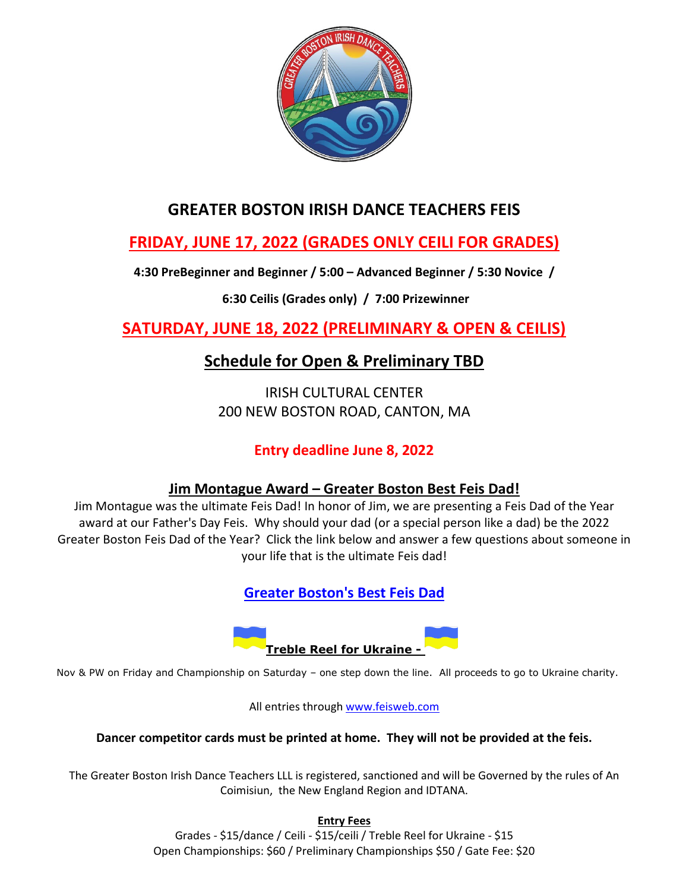

## **GREATER BOSTON IRISH DANCE TEACHERS FEIS**

# **FRIDAY, JUNE 17, 2022 (GRADES ONLY CEILI FOR GRADES)**

**4:30 PreBeginner and Beginner / 5:00 – Advanced Beginner / 5:30 Novice /**

## **6:30 Ceilis (Grades only) / 7:00 Prizewinner**

**SATURDAY, JUNE 18, 2022 (PRELIMINARY & OPEN & CEILIS)** 

# **Schedule for Open & Preliminary TBD**

IRISH CULTURAL CENTER 200 NEW BOSTON ROAD, CANTON, MA

## **Entry deadline June 8, 2022**

### **Jim Montague Award – Greater Boston Best Feis Dad!**

Jim Montague was the ultimate Feis Dad! In honor of Jim, we are presenting a Feis Dad of the Year award at our Father's Day Feis. Why should your dad (or a special person like a dad) be the 2022 Greater Boston Feis Dad of the Year? Click the link below and answer a few questions about someone in your life that is the ultimate Feis dad!

**[Greater Boston's Best Feis Dad](https://forms.gle/6QFduam5hpGcLzM66)**



Nov & PW on Friday and Championship on Saturday – one step down the line. All proceeds to go to Ukraine charity.

All entries through [www.feisweb.com](http://www.feisweb.com/)

#### **Dancer competitor cards must be printed at home. They will not be provided at the feis.**

The Greater Boston Irish Dance Teachers LLL is registered, sanctioned and will be Governed by the rules of An Coimisiun, the New England Region and IDTANA.

**Entry Fees** 

Grades - \$15/dance / Ceili - \$15/ceili / Treble Reel for Ukraine - \$15 Open Championships: \$60 / Preliminary Championships \$50 / Gate Fee: \$20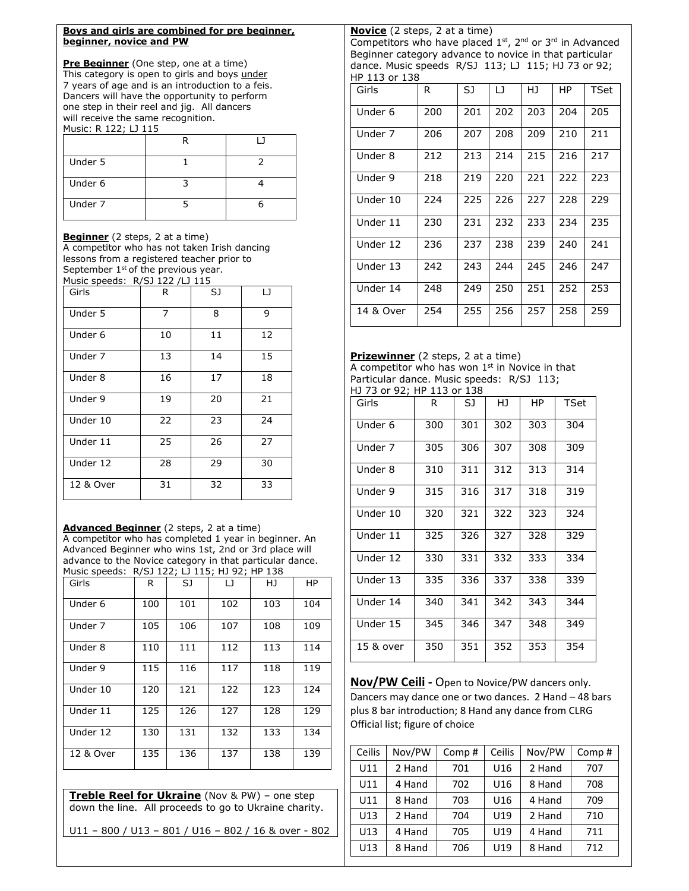| Boys and girls are combined for pre beginner,<br>beginner, novice and PW                                                        |                |    |                         | Novice (2 steps, 2 at a tim<br>Competitors who have place |            |                  |
|---------------------------------------------------------------------------------------------------------------------------------|----------------|----|-------------------------|-----------------------------------------------------------|------------|------------------|
| <b>Pre Beginner</b> (One step, one at a time)<br>This category is open to girls and boys under                                  |                |    |                         | Beginner category advance<br>dance. Music speeds R/SJ     |            |                  |
| 7 years of age and is an introduction to a feis.                                                                                |                |    |                         | HP 113 or 138<br>Girls                                    |            | SJ.              |
| Dancers will have the opportunity to perform                                                                                    |                |    |                         |                                                           | R.         |                  |
| one step in their reel and jig. All dancers<br>will receive the same recognition.                                               |                |    |                         | Under 6                                                   | 200        | 201              |
| Music: R 122; LJ 115                                                                                                            | R              |    | $\Box$                  | Under 7                                                   | 206        | 207              |
| Under 5                                                                                                                         | 1              |    | 2                       | Under 8                                                   | 212        | $\overline{213}$ |
| Under 6                                                                                                                         | 3              |    | $\overline{\mathbf{4}}$ | Under 9                                                   | 218        | 219              |
| Under 7                                                                                                                         | $\overline{5}$ |    | 6                       | Under 10                                                  | 224        | 225              |
|                                                                                                                                 |                |    |                         | Under 11                                                  | 230        | 231              |
| <b>Beginner</b> (2 steps, 2 at a time)<br>A competitor who has not taken Irish dancing                                          |                |    |                         | Under 12                                                  | 236        | 237              |
| lessons from a registered teacher prior to<br>September 1 <sup>st</sup> of the previous year.<br>Music speeds: R/SJ 122 /LJ 115 |                |    |                         | Under 13                                                  | 242        | 243              |
| Girls                                                                                                                           | R              | SJ | LJ.                     | Under 14                                                  | 248        | 249              |
| Under 5                                                                                                                         | $\overline{7}$ | 8  | 9                       | 14 & Over                                                 | 254        | 255              |
| Under 6                                                                                                                         | 10             | 11 | 12                      |                                                           |            |                  |
| Under 7                                                                                                                         | 13             | 14 | 15                      | Prizewinner (2 steps, 2 at<br>A competitor who has won    |            |                  |
| Under 8                                                                                                                         | 16             | 17 | 18                      | Particular dance. Music spee                              |            |                  |
| Under 9                                                                                                                         | 19             | 20 | 21                      | HJ 73 or 92; HP 113 or 138<br>Girls                       | R          | SJ.              |
| Under 10                                                                                                                        | 22             | 23 | 24                      | Under 6                                                   | 300        | 301              |
| Under 11                                                                                                                        | 25             | 26 | 27                      | Under 7                                                   | 305        |                  |
|                                                                                                                                 |                |    |                         |                                                           |            | 306              |
|                                                                                                                                 | 28             | 29 | 30                      |                                                           |            |                  |
| Under 12<br>12 & Over                                                                                                           | 31             | 32 | 33                      | Under 8<br>Linder 9                                       | 310<br>315 | 311<br>316       |

**Advanced Beginner** (2 steps, 2 at a time)

A competitor who has completed 1 year in beginner. An Advanced Beginner who wins 1st, 2nd or 3rd place will advance to the Novice category in that particular dance. Music speeds: R/SJ 122; LJ 115; HJ 92; HP 138

| Girls     | R   | SJ  | $\Box$ | HJ  | HP  |
|-----------|-----|-----|--------|-----|-----|
| Under 6   | 100 | 101 | 102    | 103 | 104 |
| Under 7   | 105 | 106 | 107    | 108 | 109 |
| Under 8   | 110 | 111 | 112    | 113 | 114 |
| Under 9   | 115 | 116 | 117    | 118 | 119 |
| Under 10  | 120 | 121 | 122    | 123 | 124 |
| Under 11  | 125 | 126 | 127    | 128 | 129 |
| Under 12  | 130 | 131 | 132    | 133 | 134 |
| 12 & Over | 135 | 136 | 137    | 138 | 139 |

**Treble Reel for Ukraine** (Nov & PW) – one step down the line. All proceeds to go to Ukraine charity.

U11 – 800 / U13 – 801 / U16 – 802 / 16 & over - 802

ime) aced 1st, 2<sup>nd</sup> or 3<sup>rd</sup> in Advanced ce to novice in that particular GJ 113; LJ 115; HJ 73 or 92;

| HP 113 OF 138 |     |     |     |     |     |      |
|---------------|-----|-----|-----|-----|-----|------|
| Girls         | R.  | SJ  | IJ  | HJ  | HР  | TSet |
| Under 6       | 200 | 201 | 202 | 203 | 204 | 205  |
| Under 7       | 206 | 207 | 208 | 209 | 210 | 211  |
| Under 8       | 212 | 213 | 214 | 215 | 216 | 217  |
| Under 9       | 218 | 219 | 220 | 221 | 222 | 223  |
| Under 10      | 224 | 225 | 226 | 227 | 228 | 229  |
| Under 11      | 230 | 231 | 232 | 233 | 234 | 235  |
| Under 12      | 236 | 237 | 238 | 239 | 240 | 241  |
| Under 13      | 242 | 243 | 244 | 245 | 246 | 247  |
| Under 14      | 248 | 249 | 250 | 251 | 252 | 253  |
| 14 & Over     | 254 | 255 | 256 | 257 | 258 | 259  |

#### at a time) on 1<sup>st</sup> in Novice in that Peeds: R/SJ 113;<br>38

| . .<br>Girls | R   | SJ  | HJ  | НP  | <b>TSet</b> |
|--------------|-----|-----|-----|-----|-------------|
| Under 6      | 300 | 301 | 302 | 303 | 304         |
| Under 7      | 305 | 306 | 307 | 308 | 309         |
| Under 8      | 310 | 311 | 312 | 313 | 314         |
| Under 9      | 315 | 316 | 317 | 318 | 319         |
| Under 10     | 320 | 321 | 322 | 323 | 324         |
| Under 11     | 325 | 326 | 327 | 328 | 329         |
| Under 12     | 330 | 331 | 332 | 333 | 334         |
| Under 13     | 335 | 336 | 337 | 338 | 339         |
| Under 14     | 340 | 341 | 342 | 343 | 344         |
| Under 15     | 345 | 346 | 347 | 348 | 349         |
| 15 & over    | 350 | 351 | 352 | 353 | 354         |

**Nov/PW Ceili -** Open to Novice/PW dancers only. Dancers may dance one or two dances. 2 Hand – 48 bars plus 8 bar introduction; 8 Hand any dance from CLRG Official list; figure of choice

| Ceilis | Nov/PW | Comp# | Ceilis          | Nov/PW | Comp# |
|--------|--------|-------|-----------------|--------|-------|
| U11    | 2 Hand | 701   | U16             | 2 Hand | 707   |
| U11    | 4 Hand | 702   | U16             | 8 Hand | 708   |
| U11    | 8 Hand | 703   | U <sub>16</sub> | 4 Hand | 709   |
| U13    | 2 Hand | 704   | U19             | 2 Hand | 710   |
| U13    | 4 Hand | 705   | U19             | 4 Hand | 711   |
| U13    | 8 Hand | 706   | U19             | 8 Hand | 712   |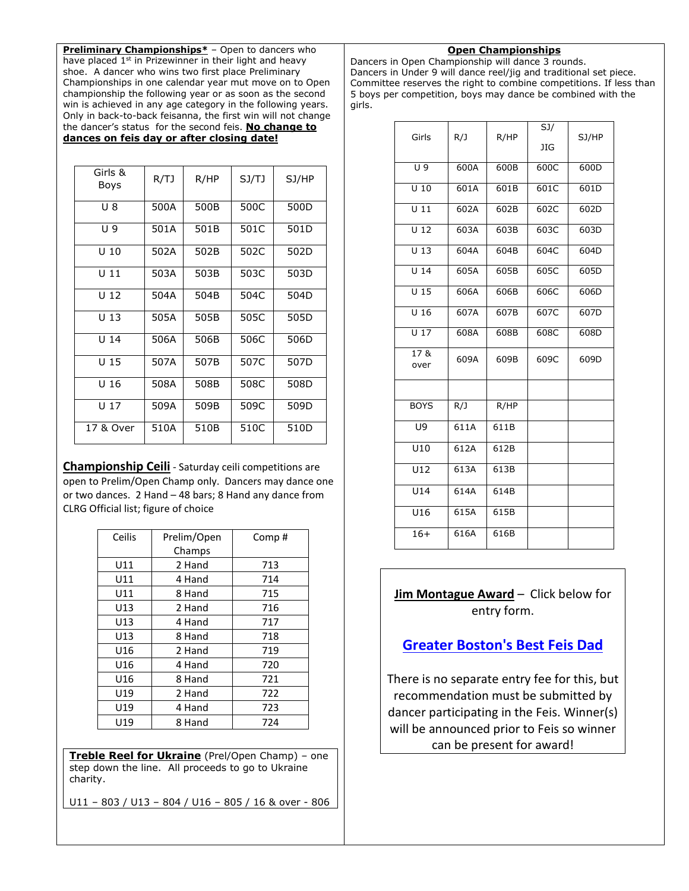**Preliminary Championships**<sup>\*</sup> – Open to dancers who have placed 1<sup>st</sup> in Prizewinner in their light and heavy shoe. A dancer who wins two first place Preliminary Championships in one calendar year mut move on to Open championship the following year or as soon as the second win is achieved in any age category in the following years. Only in back-to-back feisanna, the first win will not change the dancer's status for the second feis. **No change to dances on feis day or after closing date!** 

| Girls &         |      |      |       |       |
|-----------------|------|------|-------|-------|
| Boys            | R/TJ | R/HP | SJ/TJ | SJ/HP |
| U 8             | 500A | 500B | 500C  | 500D  |
| U 9             | 501A | 501B | 501C  | 501D  |
| U <sub>10</sub> | 502A | 502B | 502C  | 502D  |
| $U$ 11          | 503A | 503B | 503C  | 503D  |
| U <sub>12</sub> | 504A | 504B | 504C  | 504D  |
| U <sub>13</sub> | 505A | 505B | 505C  | 505D  |
| U <sub>14</sub> | 506A | 506B | 506C  | 506D  |
| U <sub>15</sub> | 507A | 507B | 507C  | 507D  |
| U <sub>16</sub> | 508A | 508B | 508C  | 508D  |
| U <sub>17</sub> | 509A | 509B | 509C  | 509D  |
| 17 & Over       | 510A | 510B | 510C  | 510D  |

**Championship Ceili** - Saturday ceili competitions are open to Prelim/Open Champ only. Dancers may dance one or two dances. 2 Hand – 48 bars; 8 Hand any dance from CLRG Official list; figure of choice

| Prelim/Open | Comp# |
|-------------|-------|
| Champs      |       |
| 2 Hand      | 713   |
| 4 Hand      | 714   |
| 8 Hand      | 715   |
| 2 Hand      | 716   |
| 4 Hand      | 717   |
| 8 Hand      | 718   |
| 2 Hand      | 719   |
| 4 Hand      | 720   |
| 8 Hand      | 721   |
| 2 Hand      | 722   |
| 4 Hand      | 723   |
| 8 Hand      | 724   |
|             |       |

**Treble Reel for Ukraine** (Prel/Open Champ) – one step down the line. All proceeds to go to Ukraine charity.

U11 – 803 / U13 – 804 / U16 – 805 / 16 & over - 806

#### **Open Championships**

Dancers in Open Championship will dance 3 rounds. Dancers in Under 9 will dance reel/jig and traditional set piece. Committee reserves the right to combine competitions. If less than 5 boys per competition, boys may dance be combined with the girls.

|                   |                   |      | SJ/        |       |
|-------------------|-------------------|------|------------|-------|
| Girls             | R/J               | R/HP | <b>JIG</b> | SJ/HP |
|                   |                   |      |            |       |
| $\overline{U}$ 9  | 600A              | 600B | 600C       | 600D  |
| $\overline{U}$ 10 | 601A              | 601B | 601C       | 601D  |
| $\overline{011}$  | 602A              | 602B | 602C       | 602D  |
| $\overline{012}$  | 603A              | 603B | 603C       | 603D  |
| $\overline{U}$ 13 | $60\overline{4A}$ | 604B | 604C       | 604D  |
| $\overline{U}$ 14 | 605A              | 605B | 605C       | 605D  |
| $\overline{U}$ 15 | 606A              | 606B | 606C       | 606D  |
| U <sub>16</sub>   | 607A              | 607B | 607C       | 607D  |
| $\overline{U}$ 17 | 608A              | 608B | 608C       | 608D  |
| 17 &<br>over      | 609A              | 609B | 609C       | 609D  |
|                   |                   |      |            |       |
| <b>BOYS</b>       | R/J               | R/HP |            |       |
| U9                | 611A              | 611B |            |       |
| U10               | 612A              | 612B |            |       |
| U12               | 613A              | 613B |            |       |
| U14               | 614A              | 614B |            |       |
| U16               | 615A              | 615B |            |       |
| $16+$             | 616A              | 616B |            |       |

**Jim Montague Award** – Click below for entry form.

#### **[Greater Boston's Best Feis Dad](https://forms.gle/6QFduam5hpGcLzM66)**

There is no separate entry fee for this, but recommendation must be submitted by dancer participating in the Feis. Winner(s) will be announced prior to Feis so winner can be present for award!